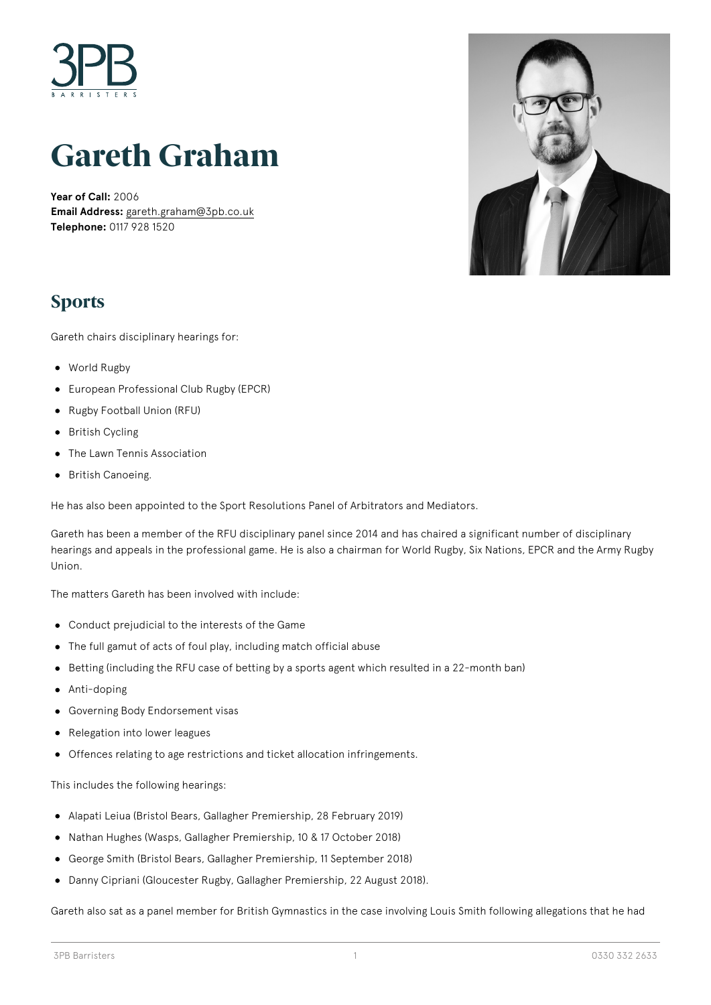

# **Gareth Graham**

**Year of Call:** 2006 **Email Address:** [gareth.graham@3pb.co.uk](mailto:gareth.graham@3pb.co.uk) **Telephone:** 0117 928 1520



### **Sports**

Gareth chairs disciplinary hearings for:

- World Rugby
- European Professional Club Rugby (EPCR)
- Rugby Football Union (RFU)
- British Cycling
- The Lawn Tennis Association
- British Canoeing.

He has also been appointed to the Sport Resolutions Panel of Arbitrators and Mediators.

Gareth has been a member of the RFU disciplinary panel since 2014 and has chaired a significant number of disciplinary hearings and appeals in the professional game. He is also a chairman for World Rugby, Six Nations, EPCR and the Army Rugby Union.

The matters Gareth has been involved with include:

- Conduct prejudicial to the interests of the Game
- The full gamut of acts of foul play, including match official abuse
- Betting (including the RFU case of betting by a sports agent which resulted in a 22-month ban)
- Anti-doping
- Governing Body Endorsement visas  $\bullet$
- Relegation into lower leagues
- Offences relating to age restrictions and ticket allocation infringements.

This includes the following hearings:

- Alapati Leiua (Bristol Bears, Gallagher Premiership, 28 February 2019)
- Nathan Hughes (Wasps, Gallagher Premiership, 10 & 17 October 2018)
- George Smith (Bristol Bears, Gallagher Premiership, 11 September 2018)  $\bullet$
- Danny Cipriani (Gloucester Rugby, Gallagher Premiership, 22 August 2018).

Gareth also sat as a panel member for British Gymnastics in the case involving Louis Smith following allegations that he had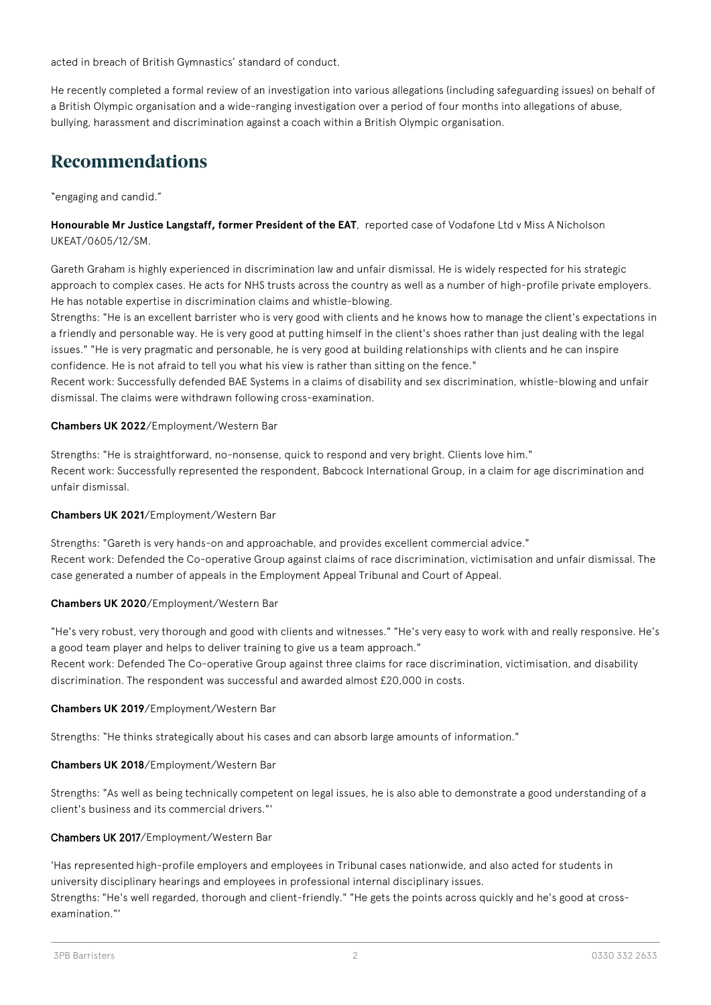acted in breach of British Gymnastics' standard of conduct.

He recently completed a formal review of an investigation into various allegations (including safeguarding issues) on behalf of a British Olympic organisation and a wide-ranging investigation over a period of four months into allegations of abuse, bullying, harassment and discrimination against a coach within a British Olympic organisation.

### **Recommendations**

"engaging and candid."

**Honourable Mr Justice Langstaff, former President of the EAT**, reported case of Vodafone Ltd v Miss A Nicholson UKEAT/0605/12/SM.

Gareth Graham is highly experienced in discrimination law and unfair dismissal. He is widely respected for his strategic approach to complex cases. He acts for NHS trusts across the country as well as a number of high-profile private employers. He has notable expertise in discrimination claims and whistle-blowing.

Strengths: "He is an excellent barrister who is very good with clients and he knows how to manage the client's expectations in a friendly and personable way. He is very good at putting himself in the client's shoes rather than just dealing with the legal issues." "He is very pragmatic and personable, he is very good at building relationships with clients and he can inspire confidence. He is not afraid to tell you what his view is rather than sitting on the fence."

Recent work: Successfully defended BAE Systems in a claims of disability and sex discrimination, whistle-blowing and unfair dismissal. The claims were withdrawn following cross-examination.

#### **Chambers UK 2022**/Employment/Western Bar

Strengths: "He is straightforward, no-nonsense, quick to respond and very bright. Clients love him." Recent work: Successfully represented the respondent, Babcock International Group, in a claim for age discrimination and unfair dismissal.

#### **Chambers UK 2021**/Employment/Western Bar

Strengths: "Gareth is very hands-on and approachable, and provides excellent commercial advice." Recent work: Defended the Co-operative Group against claims of race discrimination, victimisation and unfair dismissal. The case generated a number of appeals in the Employment Appeal Tribunal and Court of Appeal.

### **Chambers UK 2020**/Employment/Western Bar

"He's very robust, very thorough and good with clients and witnesses." "He's very easy to work with and really responsive. He's a good team player and helps to deliver training to give us a team approach." Recent work: Defended The Co-operative Group against three claims for race discrimination, victimisation, and disability discrimination. The respondent was successful and awarded almost £20,000 in costs.

#### **Chambers UK 2019**/Employment/Western Bar

Strengths: "He thinks strategically about his cases and can absorb large amounts of information."

#### **Chambers UK 2018**/Employment/Western Bar

Strengths: "As well as being technically competent on legal issues, he is also able to demonstrate a good understanding of a client's business and its commercial drivers."'

### Chambers UK 2017/Employment/Western Bar

'Has represented high-profile employers and employees in Tribunal cases nationwide, and also acted for students in university disciplinary hearings and employees in professional internal disciplinary issues.

Strengths: "He's well regarded, thorough and client-friendly." "He gets the points across quickly and he's good at crossexamination."'